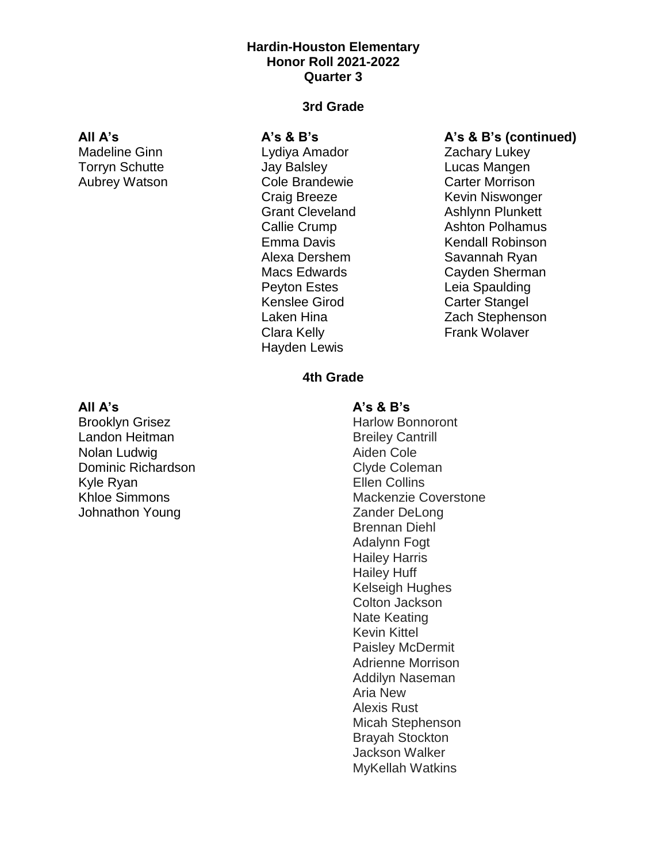## **Hardin-Houston Elementary Honor Roll 2021-2022 Quarter 3**

#### **All A's**

Madeline Ginn Torryn Schutte Aubrey Watson

### **3rd Grade**

#### **A's & B's**

Lydiya Amador Jay Balsley Cole Brandewie Craig Breeze Grant Cleveland Callie Crump Emma Davis Alexa Dershem Macs Edwards Peyton Estes Kenslee Girod Laken Hina Clara Kelly Hayden Lewis

### **A's & B's (continued)**

Zachary Lukey Lucas Mangen Carter Morrison Kevin Niswonger Ashlynn Plunkett Ashton Polhamus Kendall Robinson Savannah Ryan Cayden Sherman Leia Spaulding Carter Stangel Zach Stephenson Frank Wolaver

# **4th Grade**

#### **All A's**

Brooklyn Grisez Landon Heitman Nolan Ludwig Dominic Richardson Kyle Ryan Khloe Simmons Johnathon Young

#### **A's & B's**

Harlow Bonnoront Breiley Cantrill Aiden Cole Clyde Coleman Ellen Collins Mackenzie Coverstone Zander DeLong Brennan Diehl Adalynn Fogt Hailey Harris Hailey Huff Kelseigh Hughes Colton Jackson Nate Keating Kevin Kittel Paisley McDermit Adrienne Morrison Addilyn Naseman Aria New Alexis Rust Micah Stephenson Brayah Stockton Jackson Walker MyKellah Watkins